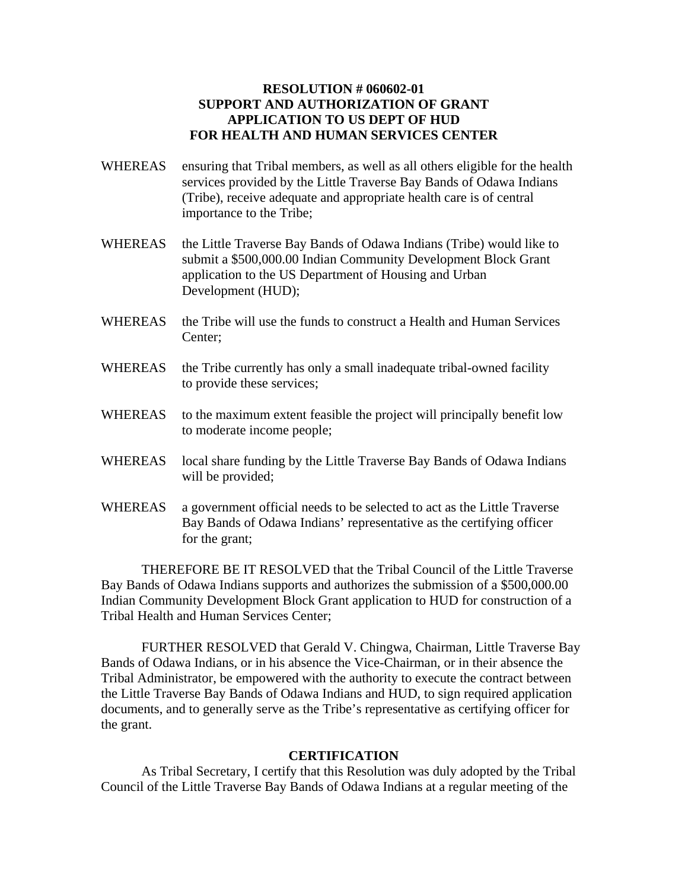## **RESOLUTION # 060602-01 SUPPORT AND AUTHORIZATION OF GRANT APPLICATION TO US DEPT OF HUD FOR HEALTH AND HUMAN SERVICES CENTER**

- WHEREAS ensuring that Tribal members, as well as all others eligible for the health services provided by the Little Traverse Bay Bands of Odawa Indians (Tribe), receive adequate and appropriate health care is of central importance to the Tribe;
- WHEREAS the Little Traverse Bay Bands of Odawa Indians (Tribe) would like to submit a \$500,000.00 Indian Community Development Block Grant application to the US Department of Housing and Urban Development (HUD);
- WHEREAS the Tribe will use the funds to construct a Health and Human Services Center;
- WHEREAS the Tribe currently has only a small inadequate tribal-owned facility to provide these services;
- WHEREAS to the maximum extent feasible the project will principally benefit low to moderate income people;
- WHEREAS local share funding by the Little Traverse Bay Bands of Odawa Indians will be provided;
- WHEREAS a government official needs to be selected to act as the Little Traverse Bay Bands of Odawa Indians' representative as the certifying officer for the grant;

 THEREFORE BE IT RESOLVED that the Tribal Council of the Little Traverse Bay Bands of Odawa Indians supports and authorizes the submission of a \$500,000.00 Indian Community Development Block Grant application to HUD for construction of a Tribal Health and Human Services Center;

 FURTHER RESOLVED that Gerald V. Chingwa, Chairman, Little Traverse Bay Bands of Odawa Indians, or in his absence the Vice-Chairman, or in their absence the Tribal Administrator, be empowered with the authority to execute the contract between the Little Traverse Bay Bands of Odawa Indians and HUD, to sign required application documents, and to generally serve as the Tribe's representative as certifying officer for the grant.

## **CERTIFICATION**

 As Tribal Secretary, I certify that this Resolution was duly adopted by the Tribal Council of the Little Traverse Bay Bands of Odawa Indians at a regular meeting of the